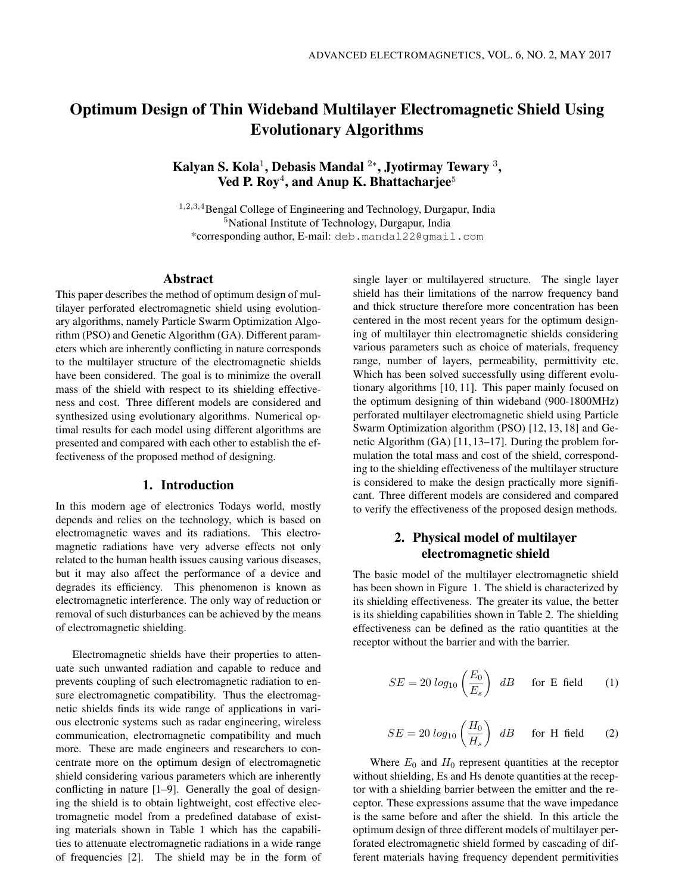# Optimum Design of Thin Wideband Multilayer Electromagnetic Shield Using Evolutionary Algorithms

Kalyan S. Kola $^1$ , Debasis Mandal  $^{2*}$ , Jyotirmay Tewary  $^3,$ Ved P. Roy<sup>4</sup>, and Anup K. Bhattacharjee<sup>5</sup>

<sup>1</sup>,2,3,<sup>4</sup>Bengal College of Engineering and Technology, Durgapur, India <sup>5</sup>National Institute of Technology, Durgapur, India \*corresponding author, E-mail: deb.mandal22@gmail.com

## Abstract

This paper describes the method of optimum design of multilayer perforated electromagnetic shield using evolutionary algorithms, namely Particle Swarm Optimization Algorithm (PSO) and Genetic Algorithm (GA). Different parameters which are inherently conflicting in nature corresponds to the multilayer structure of the electromagnetic shields have been considered. The goal is to minimize the overall mass of the shield with respect to its shielding effectiveness and cost. Three different models are considered and synthesized using evolutionary algorithms. Numerical optimal results for each model using different algorithms are presented and compared with each other to establish the effectiveness of the proposed method of designing.

## 1. Introduction

In this modern age of electronics Todays world, mostly depends and relies on the technology, which is based on electromagnetic waves and its radiations. This electromagnetic radiations have very adverse effects not only related to the human health issues causing various diseases, but it may also affect the performance of a device and degrades its efficiency. This phenomenon is known as electromagnetic interference. The only way of reduction or removal of such disturbances can be achieved by the means of electromagnetic shielding.

Electromagnetic shields have their properties to attenuate such unwanted radiation and capable to reduce and prevents coupling of such electromagnetic radiation to ensure electromagnetic compatibility. Thus the electromagnetic shields finds its wide range of applications in various electronic systems such as radar engineering, wireless communication, electromagnetic compatibility and much more. These are made engineers and researchers to concentrate more on the optimum design of electromagnetic shield considering various parameters which are inherently conflicting in nature [1–9]. Generally the goal of designing the shield is to obtain lightweight, cost effective electromagnetic model from a predefined database of existing materials shown in Table 1 which has the capabilities to attenuate electromagnetic radiations in a wide range of frequencies [2]. The shield may be in the form of single layer or multilayered structure. The single layer shield has their limitations of the narrow frequency band and thick structure therefore more concentration has been centered in the most recent years for the optimum designing of multilayer thin electromagnetic shields considering various parameters such as choice of materials, frequency range, number of layers, permeability, permittivity etc. Which has been solved successfully using different evolutionary algorithms [10, 11]. This paper mainly focused on the optimum designing of thin wideband (900-1800MHz) perforated multilayer electromagnetic shield using Particle Swarm Optimization algorithm (PSO) [12, 13, 18] and Genetic Algorithm (GA) [11, 13–17]. During the problem formulation the total mass and cost of the shield, corresponding to the shielding effectiveness of the multilayer structure is considered to make the design practically more significant. Three different models are considered and compared to verify the effectiveness of the proposed design methods.

## 2. Physical model of multilayer electromagnetic shield

The basic model of the multilayer electromagnetic shield has been shown in Figure 1. The shield is characterized by its shielding effectiveness. The greater its value, the better is its shielding capabilities shown in Table 2. The shielding effectiveness can be defined as the ratio quantities at the receptor without the barrier and with the barrier.

$$
SE = 20 \log_{10} \left( \frac{E_0}{E_s} \right) \, dB \quad \text{for E field} \tag{1}
$$

$$
SE = 20 \log_{10} \left( \frac{H_0}{H_s} \right) dB \quad \text{for H field} \quad (2)
$$

Where  $E_0$  and  $H_0$  represent quantities at the receptor without shielding, Es and Hs denote quantities at the receptor with a shielding barrier between the emitter and the receptor. These expressions assume that the wave impedance is the same before and after the shield. In this article the optimum design of three different models of multilayer perforated electromagnetic shield formed by cascading of different materials having frequency dependent permitivities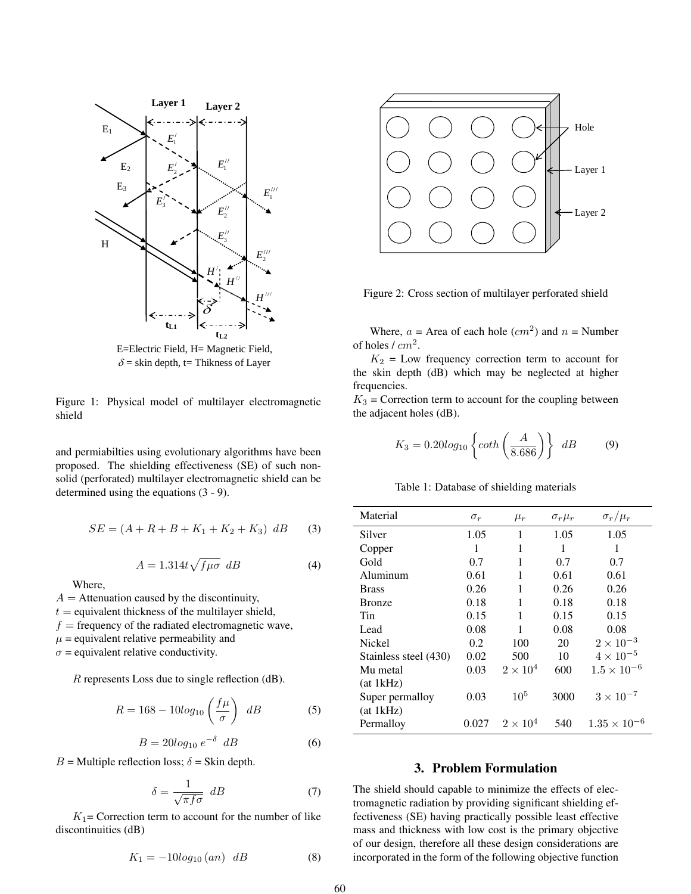

E=Electric Field, H= Magnetic Field,  $\delta$  = skin depth, t= Thikness of Layer

Figure 1: Physical model of multilayer electromagnetic shield

and permiabilties using evolutionary algorithms have been proposed. The shielding effectiveness (SE) of such nonsolid (perforated) multilayer electromagnetic shield can be determined using the equations (3 - 9).

$$
SE = (A + R + B + K_1 + K_2 + K_3) dB
$$
 (3)

$$
A = 1.314t\sqrt{f\mu\sigma} dB \tag{4}
$$

Where,

 $A =$  Attenuation caused by the discontinuity,

 $t =$  equivalent thickness of the multilayer shield,

 $f$  = frequency of the radiated electromagnetic wave,

 $\mu$  = equivalent relative permeability and

 $\sigma$  = equivalent relative conductivity.

R represents Loss due to single reflection (dB).

$$
R = 168 - 10\log_{10}\left(\frac{f\mu}{\sigma}\right) \, dB \tag{5}
$$

$$
B = 20\log_{10} e^{-\delta} dB \tag{6}
$$

 $B =$  Multiple reflection loss;  $\delta =$  Skin depth.

$$
\delta = \frac{1}{\sqrt{\pi f \sigma}} \, dB \tag{7}
$$

 $K_1$ = Correction term to account for the number of like discontinuities (dB)

$$
K_1 = -10\log_{10}(an) \, dB \tag{8}
$$



Figure 2: Cross section of multilayer perforated shield

Where,  $a =$  Area of each hole  $(cm^2)$  and  $n =$  Number of holes  $/ cm<sup>2</sup>$ .

 $K_2$  = Low frequency correction term to account for the skin depth (dB) which may be neglected at higher frequencies.

 $K_3$  = Correction term to account for the coupling between the adjacent holes (dB).

$$
K_3 = 0.20 \log_{10} \left\{ \coth \left( \frac{A}{8.686} \right) \right\} \ dB \tag{9}
$$

Table 1: Database of shielding materials

| Material              | $\sigma_r$ | $\mu_r$         | $\sigma_r \mu_r$ | $\sigma_r/\mu_r$      |
|-----------------------|------------|-----------------|------------------|-----------------------|
| Silver                | 1.05       | 1               | 1.05             | 1.05                  |
| Copper                | 1          | 1               | 1                | 1                     |
| Gold                  | 0.7        | 1               | 0.7              | 0.7                   |
| Aluminum              | 0.61       | 1               | 0.61             | 0.61                  |
| <b>Brass</b>          | 0.26       | 1               | 0.26             | 0.26                  |
| <b>Bronze</b>         | 0.18       | 1               | 0.18             | 0.18                  |
| Tin                   | 0.15       | 1               | 0.15             | 0.15                  |
| Lead                  | 0.08       | 1               | 0.08             | 0.08                  |
| Nickel                | 0.2        | 100             | 20               | $2 \times 10^{-3}$    |
| Stainless steel (430) | 0.02       | 500             | 10               | $4 \times 10^{-5}$    |
| Mu metal              | 0.03       | $2\times10^4$   | 600              | $1.5 \times 10^{-6}$  |
| (at 1kHz)             |            |                 |                  |                       |
| Super permalloy       | 0.03       | 10 <sup>5</sup> | 3000             | $3 \times 10^{-7}$    |
| (at 1kHz)             |            |                 |                  |                       |
| Permalloy             | 0.027      | $2\times10^4$   | 540              | $1.35 \times 10^{-7}$ |

#### 3. Problem Formulation

The shield should capable to minimize the effects of electromagnetic radiation by providing significant shielding effectiveness (SE) having practically possible least effective mass and thickness with low cost is the primary objective of our design, therefore all these design considerations are incorporated in the form of the following objective function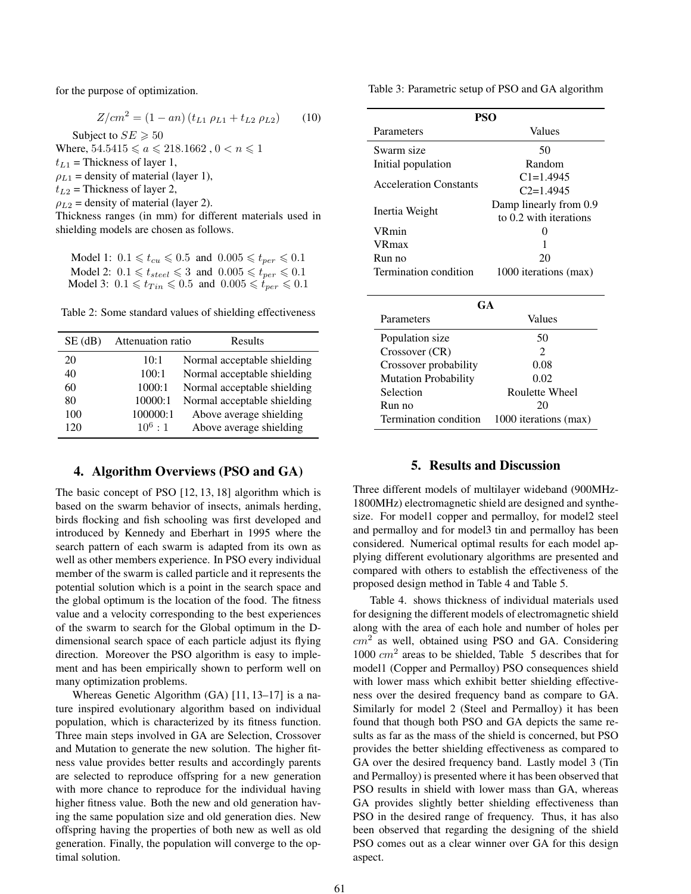for the purpose of optimization.

$$
Z/cm^{2} = (1 - an) (t_{L1} \rho_{L1} + t_{L2} \rho_{L2}) \qquad (10)
$$

Subject to  $SE \ge 50$ Where,  $54.5415 \le a \le 218.1662$ ,  $0 < n \le 1$  $t_{L1}$  = Thickness of layer 1,  $\rho_{L1}$  = density of material (layer 1),  $t_{L2}$  = Thickness of layer 2,  $\rho_{L2}$  = density of material (layer 2). Thickness ranges (in mm) for different materials used in shielding models are chosen as follows.

Model 1:  $0.1 \leq t_{cu} \leq 0.5$  and  $0.005 \leq t_{per} \leq 0.1$ Model 2:  $0.1 \leq t_{steel} \leq 3$  and  $0.005 \leq t_{per} \leq 0.1$ Model 3:  $0.1 \leq t_{Tin} \leq 0.5$  and  $0.005 \leq t_{per} \leq 0.1$ 

Table 2: Some standard values of shielding effectiveness

| $SE$ (dB) | Attenuation ratio | Results                     |
|-----------|-------------------|-----------------------------|
| 20        | 10:1              | Normal acceptable shielding |
| 40        | 100:1             | Normal acceptable shielding |
| 60        | 1000:1            | Normal acceptable shielding |
| 80        | 10000:1           | Normal acceptable shielding |
| 100       | 100000:1          | Above average shielding     |
| 120       | $10^6 \cdot 1$    | Above average shielding     |

## 4. Algorithm Overviews (PSO and GA)

The basic concept of PSO [12, 13, 18] algorithm which is based on the swarm behavior of insects, animals herding, birds flocking and fish schooling was first developed and introduced by Kennedy and Eberhart in 1995 where the search pattern of each swarm is adapted from its own as well as other members experience. In PSO every individual member of the swarm is called particle and it represents the potential solution which is a point in the search space and the global optimum is the location of the food. The fitness value and a velocity corresponding to the best experiences of the swarm to search for the Global optimum in the Ddimensional search space of each particle adjust its flying direction. Moreover the PSO algorithm is easy to implement and has been empirically shown to perform well on many optimization problems.

Whereas Genetic Algorithm (GA) [11, 13–17] is a nature inspired evolutionary algorithm based on individual population, which is characterized by its fitness function. Three main steps involved in GA are Selection, Crossover and Mutation to generate the new solution. The higher fitness value provides better results and accordingly parents are selected to reproduce offspring for a new generation with more chance to reproduce for the individual having higher fitness value. Both the new and old generation having the same population size and old generation dies. New offspring having the properties of both new as well as old generation. Finally, the population will converge to the optimal solution.

Table 3: Parametric setup of PSO and GA algorithm

| PSO                           |                                                  |  |  |  |  |  |  |
|-------------------------------|--------------------------------------------------|--|--|--|--|--|--|
| Parameters                    | Values                                           |  |  |  |  |  |  |
| Swarm size                    | 50                                               |  |  |  |  |  |  |
| Initial population            | Random                                           |  |  |  |  |  |  |
| <b>Acceleration Constants</b> | $C1 = 1.4945$<br>$C2=1.4945$                     |  |  |  |  |  |  |
| Inertia Weight                | Damp linearly from 0.9<br>to 0.2 with iterations |  |  |  |  |  |  |
| <b>VRmin</b>                  | 0                                                |  |  |  |  |  |  |
| <b>VR</b> max                 | 1                                                |  |  |  |  |  |  |
| Run no                        | 20                                               |  |  |  |  |  |  |
| Termination condition         | 1000 iterations (max)                            |  |  |  |  |  |  |
| GA                            |                                                  |  |  |  |  |  |  |
| Parameters                    | Values                                           |  |  |  |  |  |  |
| Population size               | 50                                               |  |  |  |  |  |  |
| Crossover (CR)                | $\mathfrak{D}$                                   |  |  |  |  |  |  |
| Crossover probability         | 0.08                                             |  |  |  |  |  |  |
| <b>Mutation Probability</b>   | 0.02                                             |  |  |  |  |  |  |
| Selection                     | Roulette Wheel                                   |  |  |  |  |  |  |
| Run no                        | 20                                               |  |  |  |  |  |  |
| Termination condition         | 1000 iterations (max)                            |  |  |  |  |  |  |

## 5. Results and Discussion

Three different models of multilayer wideband (900MHz-1800MHz) electromagnetic shield are designed and synthesize. For model1 copper and permalloy, for model2 steel and permalloy and for model3 tin and permalloy has been considered. Numerical optimal results for each model applying different evolutionary algorithms are presented and compared with others to establish the effectiveness of the proposed design method in Table 4 and Table 5.

Table 4. shows thickness of individual materials used for designing the different models of electromagnetic shield along with the area of each hole and number of holes per  $cm<sup>2</sup>$  as well, obtained using PSO and GA. Considering 1000  $cm<sup>2</sup>$  areas to be shielded, Table 5 describes that for model1 (Copper and Permalloy) PSO consequences shield with lower mass which exhibit better shielding effectiveness over the desired frequency band as compare to GA. Similarly for model 2 (Steel and Permalloy) it has been found that though both PSO and GA depicts the same results as far as the mass of the shield is concerned, but PSO provides the better shielding effectiveness as compared to GA over the desired frequency band. Lastly model 3 (Tin and Permalloy) is presented where it has been observed that PSO results in shield with lower mass than GA, whereas GA provides slightly better shielding effectiveness than PSO in the desired range of frequency. Thus, it has also been observed that regarding the designing of the shield PSO comes out as a clear winner over GA for this design aspect.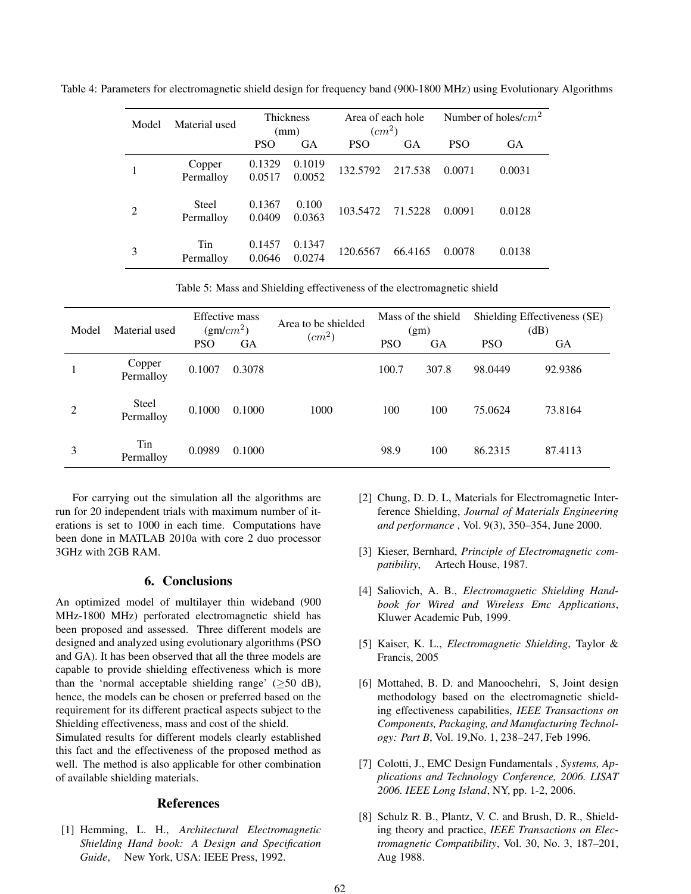Table 4: Parameters for electromagnetic shield design for frequency band (900-1800 MHz) using Evolutionary Algorithms

| Model | Material used             | <b>Thickness</b><br>(mm) |                  | Area of each hole<br>$(cm^2)$ |           | Number of holes/ $cm2$ |           |
|-------|---------------------------|--------------------------|------------------|-------------------------------|-----------|------------------------|-----------|
|       |                           | <b>PSO</b>               | <b>GA</b>        | <b>PSO</b>                    | <b>GA</b> | <b>PSO</b>             | <b>GA</b> |
|       | Copper<br>Permalloy       | 0.1329<br>0.0517         | 0.1019<br>0.0052 | 132.5792                      | 217.538   | 0.0071                 | 0.0031    |
| 2     | <b>Steel</b><br>Permalloy | 0.1367<br>0.0409         | 0.100<br>0.0363  | 103.5472                      | 71.5228   | 0.0091                 | 0.0128    |
| 3     | Tin<br>Permalloy          | 0.1457<br>0.0646         | 0.1347<br>0.0274 | 120.6567                      | 66.4165   | 0.0078                 | 0.0138    |

Table 5: Mass and Shielding effectiveness of the electromagnetic shield

| Model | Material used       | <b>Effective</b> mass<br>$(gm/cm^2)$ |           | Area to be shielded<br>$(cm^2)$ | Mass of the shield<br>(gm) |           | Shielding Effectiveness (SE)<br>(dB) |         |
|-------|---------------------|--------------------------------------|-----------|---------------------------------|----------------------------|-----------|--------------------------------------|---------|
|       |                     | <b>PSO</b>                           | <b>GA</b> |                                 | <b>PSO</b>                 | <b>GA</b> | <b>PSO</b>                           | GА      |
|       | Copper<br>Permalloy | 0.1007                               | 0.3078    |                                 | 100.7                      | 307.8     | 98.0449                              | 92.9386 |
| 2     | Steel<br>Permalloy  | 0.1000                               | 0.1000    | 1000                            | 100                        | 100       | 75.0624                              | 73.8164 |
| 3     | Tin<br>Permalloy    | 0.0989                               | 0.1000    |                                 | 98.9                       | 100       | 86.2315                              | 87.4113 |

For carrying out the simulation all the algorithms are run for 20 independent trials with maximum number of iterations is set to 1000 in each time. Computations have been done in MATLAB 2010a with core 2 duo processor 3GHz with 2GB RAM.

### 6. Conclusions

An optimized model of multilayer thin wideband (900 MHz-1800 MHz) perforated electromagnetic shield has been proposed and assessed. Three different models are designed and analyzed using evolutionary algorithms (PSO and GA). It has been observed that all the three models are capable to provide shielding effectiveness which is more than the 'normal acceptable shielding range' ( $\geq$ 50 dB), hence, the models can be chosen or preferred based on the requirement for its different practical aspects subject to the Shielding effectiveness, mass and cost of the shield.

Simulated results for different models clearly established this fact and the effectiveness of the proposed method as well. The method is also applicable for other combination of available shielding materials.

## References

[1] Hemming, L. H., *Architectural Electromagnetic Shielding Hand book: A Design and Specification Guide*, New York, USA: IEEE Press, 1992.

- [2] Chung, D. D. L, Materials for Electromagnetic Interference Shielding, *Journal of Materials Engineering and performance* , Vol. 9(3), 350–354, June 2000.
- [3] Kieser, Bernhard, *Principle of Electromagnetic compatibility*, Artech House, 1987.
- [4] Saliovich, A. B., *Electromagnetic Shielding Handbook for Wired and Wireless Emc Applications*, Kluwer Academic Pub, 1999.
- [5] Kaiser, K. L., *Electromagnetic Shielding*, Taylor & Francis, 2005
- [6] Mottahed, B. D. and Manoochehri, S, Joint design methodology based on the electromagnetic shielding effectiveness capabilities, *IEEE Transactions on Components, Packaging, and Manufacturing Technology: Part B*, Vol. 19,No. 1, 238–247, Feb 1996.
- [7] Colotti, J., EMC Design Fundamentals , *Systems, Applications and Technology Conference, 2006. LISAT 2006. IEEE Long Island*, NY, pp. 1-2, 2006.
- [8] Schulz R. B., Plantz, V. C. and Brush, D. R., Shielding theory and practice, *IEEE Transactions on Electromagnetic Compatibility*, Vol. 30, No. 3, 187–201, Aug 1988.